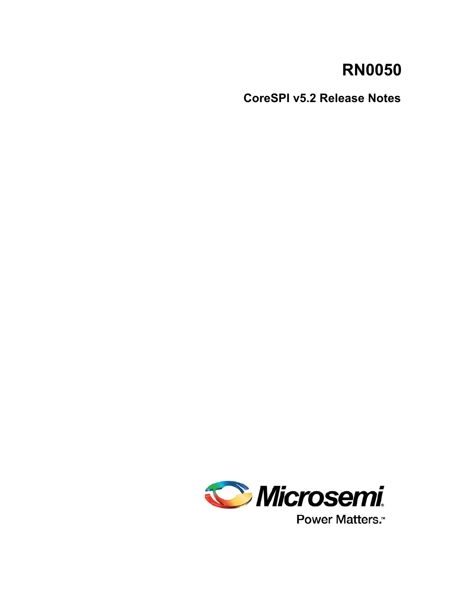# **RN0050**

**CoreSPI v5.2 Release Notes**



Power Matters.<sup>™</sup>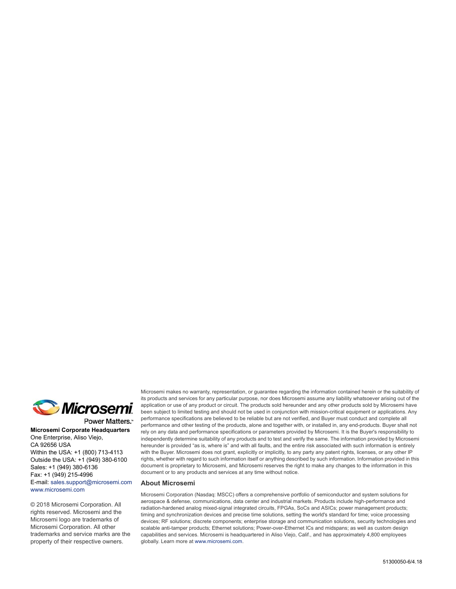

Power Matters.<sup>\*</sup>

**Microsemi Corporate Headquarters** One Enterprise, Aliso Viejo, CA 92656 USA Within the USA: +1 (800) 713-4113 Outside the USA: +1 (949) 380-6100 Sales: +1 (949) 380-6136 Fax: +1 (949) 215-4996 E-mail: [sales.support@microsemi.com](mailto:sales.support@microsemi.com) [www.microsemi.com](http://www.microsemi.com)

© 2018 Microsemi Corporation. All rights reserved. Microsemi and the Microsemi logo are trademarks of Microsemi Corporation. All other trademarks and service marks are the property of their respective owners.

Microsemi makes no warranty, representation, or guarantee regarding the information contained herein or the suitability of its products and services for any particular purpose, nor does Microsemi assume any liability whatsoever arising out of the application or use of any product or circuit. The products sold hereunder and any other products sold by Microsemi have been subject to limited testing and should not be used in conjunction with mission-critical equipment or applications. Any performance specifications are believed to be reliable but are not verified, and Buyer must conduct and complete all performance and other testing of the products, alone and together with, or installed in, any end-products. Buyer shall not rely on any data and performance specifications or parameters provided by Microsemi. It is the Buyer's responsibility to independently determine suitability of any products and to test and verify the same. The information provided by Microsemi hereunder is provided "as is, where is" and with all faults, and the entire risk associated with such information is entirely with the Buyer. Microsemi does not grant, explicitly or implicitly, to any party any patent rights, licenses, or any other IP rights, whether with regard to such information itself or anything described by such information. Information provided in this document is proprietary to Microsemi, and Microsemi reserves the right to make any changes to the information in this document or to any products and services at any time without notice.

#### **About Microsemi**

Microsemi Corporation (Nasdaq: MSCC) offers a comprehensive portfolio of semiconductor and system solutions for aerospace & defense, communications, data center and industrial markets. Products include high-performance and radiation-hardened analog mixed-signal integrated circuits, FPGAs, SoCs and ASICs; power management products; timing and synchronization devices and precise time solutions, setting the world's standard for time; voice processing devices; RF solutions; discrete components; enterprise storage and communication solutions, security technologies and scalable anti-tamper products; Ethernet solutions; Power-over-Ethernet ICs and midspans; as well as custom design capabilities and services. Microsemi is headquartered in Aliso Viejo, Calif., and has approximately 4,800 employees globally. Learn more at www.microsemi.com.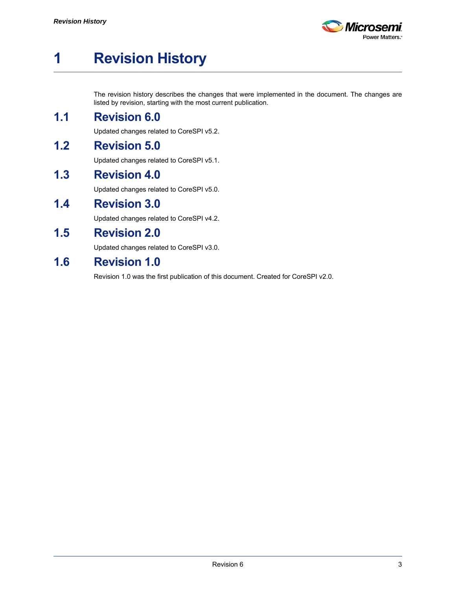

# <span id="page-2-0"></span>**1 Revision History**

The revision history describes the changes that were implemented in the document. The changes are listed by revision, starting with the most current publication.

## <span id="page-2-1"></span>**1.1 Revision 6.0**

Updated changes related to CoreSPI v5.2.

# <span id="page-2-2"></span>**1.2 Revision 5.0**

Updated changes related to CoreSPI v5.1.

#### <span id="page-2-3"></span>**1.3 Revision 4.0**

Updated changes related to CoreSPI v5.0.

#### <span id="page-2-4"></span>**1.4 Revision 3.0**

Updated changes related to CoreSPI v4.2.

## <span id="page-2-5"></span>**1.5 Revision 2.0**

Updated changes related to CoreSPI v3.0.

### <span id="page-2-6"></span>**1.6 Revision 1.0**

Revision 1.0 was the first publication of this document. Created for CoreSPI v2.0.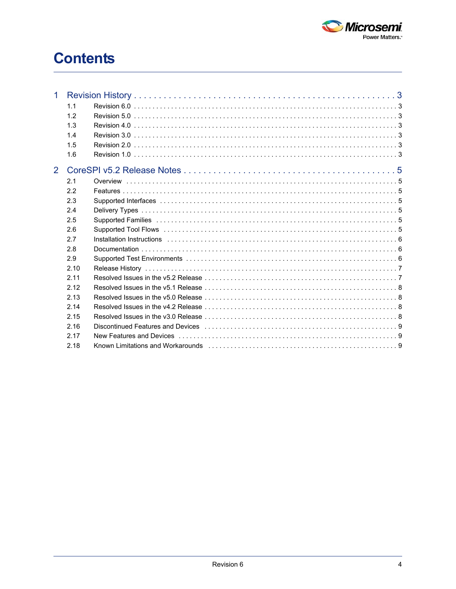

# **Contents**

| 1 |      |                                                                                                                                                                                                                                |  |
|---|------|--------------------------------------------------------------------------------------------------------------------------------------------------------------------------------------------------------------------------------|--|
|   | 1.1  |                                                                                                                                                                                                                                |  |
|   | 1.2  |                                                                                                                                                                                                                                |  |
|   | 1.3  |                                                                                                                                                                                                                                |  |
|   | 1.4  |                                                                                                                                                                                                                                |  |
|   | 1.5  |                                                                                                                                                                                                                                |  |
|   | 1.6  |                                                                                                                                                                                                                                |  |
| 2 |      |                                                                                                                                                                                                                                |  |
|   | 2.1  |                                                                                                                                                                                                                                |  |
|   | 2.2  |                                                                                                                                                                                                                                |  |
|   | 2.3  |                                                                                                                                                                                                                                |  |
|   | 2.4  |                                                                                                                                                                                                                                |  |
|   | 2.5  |                                                                                                                                                                                                                                |  |
|   | 2.6  |                                                                                                                                                                                                                                |  |
|   | 2.7  |                                                                                                                                                                                                                                |  |
|   | 2.8  |                                                                                                                                                                                                                                |  |
|   | 2.9  |                                                                                                                                                                                                                                |  |
|   | 2.10 |                                                                                                                                                                                                                                |  |
|   | 2.11 |                                                                                                                                                                                                                                |  |
|   | 2.12 |                                                                                                                                                                                                                                |  |
|   | 2.13 | Resolved Issues in the v5.0 Release entertainment contained a state of the value of the value of the value of the value of the value of the value of the value of the value of the value of the value of the value of the valu |  |
|   | 2.14 |                                                                                                                                                                                                                                |  |
|   | 2.15 |                                                                                                                                                                                                                                |  |
|   | 2.16 |                                                                                                                                                                                                                                |  |
|   | 2.17 |                                                                                                                                                                                                                                |  |
|   | 2.18 |                                                                                                                                                                                                                                |  |
|   |      |                                                                                                                                                                                                                                |  |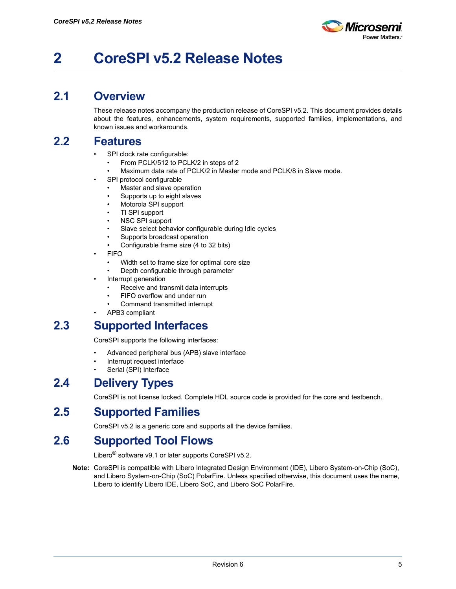

# <span id="page-4-0"></span>**2 CoreSPI v5.2 Release Notes**

#### <span id="page-4-1"></span>**2.1 Overview**

These release notes accompany the production release of CoreSPI v5.2. This document provides details about the features, enhancements, system requirements, supported families, implementations, and known issues and workarounds.

#### <span id="page-4-2"></span>**2.2 Features**

- SPI clock rate configurable:
	- From PCLK/512 to PCLK/2 in steps of 2
	- Maximum data rate of PCLK/2 in Master mode and PCLK/8 in Slave mode.
- SPI protocol configurable
	- Master and slave operation
	- Supports up to eight slaves
	- Motorola SPI support
	- TI SPI support
	- NSC SPI support
	- Slave select behavior configurable during Idle cycles
	- Supports broadcast operation
	- Configurable frame size (4 to 32 bits)
- FIFO
	- Width set to frame size for optimal core size
	- Depth configurable through parameter
- Interrupt generation
	- Receive and transmit data interrupts
	- FIFO overflow and under run
	- Command transmitted interrupt
- APB3 compliant

# <span id="page-4-3"></span>**2.3 Supported Interfaces**

CoreSPI supports the following interfaces:

- Advanced peripheral bus (APB) slave interface
- Interrupt request interface
- Serial (SPI) Interface

#### <span id="page-4-4"></span>**2.4 Delivery Types**

CoreSPI is not license locked. Complete HDL source code is provided for the core and testbench.

## <span id="page-4-5"></span>**2.5 Supported Families**

CoreSPI v5.2 is a generic core and supports all the device families.

## <span id="page-4-6"></span>**2.6 Supported Tool Flows**

Libero<sup>®</sup> software v9.1 or later supports CoreSPI v5.2.

**Note:** CoreSPI is compatible with Libero Integrated Design Environment (IDE), Libero System-on-Chip (SoC), and Libero System-on-Chip (SoC) PolarFire. Unless specified otherwise, this document uses the name, Libero to identify Libero IDE, Libero SoC, and Libero SoC PolarFire.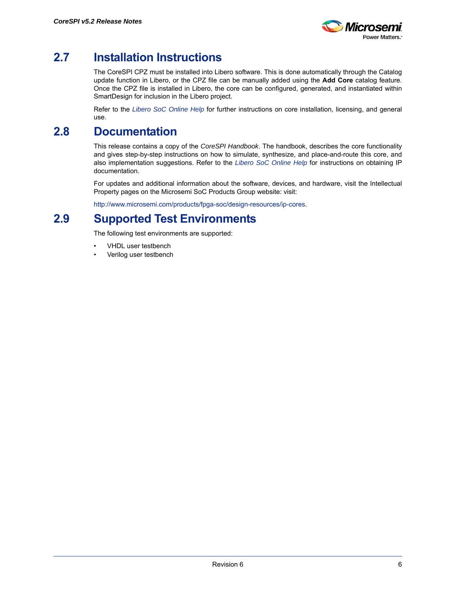

# <span id="page-5-0"></span>**2.7 Installation Instructions**

The CoreSPI CPZ must be installed into Libero software. This is done automatically through the Catalog update function in Libero, or the CPZ file can be manually added using the **Add Core** catalog feature. Once the CPZ file is installed in Libero, the core can be configured, generated, and instantiated within SmartDesign for inclusion in the Libero project.

Refer to the *[Libero SoC Online Help](http://www.microsemi.com/index.php?option=com_docman&task=doc_download&gid=132044)* for further instructions on core installation, licensing, and general use.

# <span id="page-5-1"></span>**2.8 Documentation**

This release contains a copy of the *CoreSPI Handbook*. The handbook, describes the core functionality and gives step-by-step instructions on how to simulate, synthesize, and place-and-route this core, and also implementation suggestions. Refer to the *[Libero SoC Online Help](http://www.microsemi.com/index.php?option=com_docman&task=doc_download&gid=132044)* for instructions on obtaining IP documentation.

For updates and additional information about the software, devices, and hardware, visit the Intellectual Property pages on the Microsemi SoC Products Group website: visit:

[http://www.microsemi.com/products/fpga-soc/design-resources/ip-cores.](http://www.microsemi.com/products/fpga-soc/design-resources/ip-cores)

# <span id="page-5-2"></span>**2.9 Supported Test Environments**

The following test environments are supported:

- VHDL user testbench
- Verilog user testbench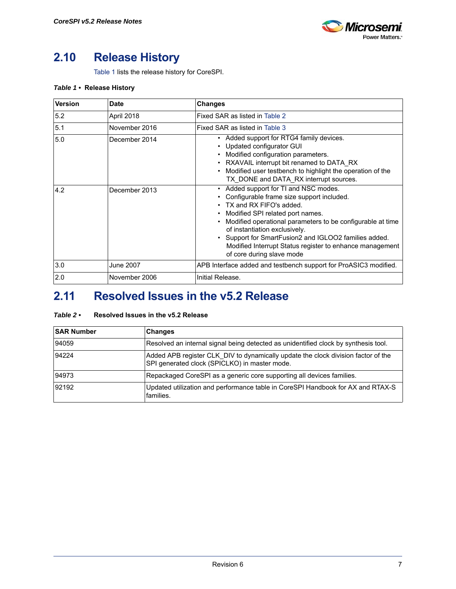

# <span id="page-6-0"></span>**2.10 Release History**

[Table 1](#page-6-2) lists the release history for CoreSPI.

#### <span id="page-6-2"></span>*Table 1 •* **Release History**

| <b>Version</b> | <b>Date</b>      | <b>Changes</b>                                                                                                                                                                                                                                                                                                                                                                                                                                     |
|----------------|------------------|----------------------------------------------------------------------------------------------------------------------------------------------------------------------------------------------------------------------------------------------------------------------------------------------------------------------------------------------------------------------------------------------------------------------------------------------------|
| 5.2            | April 2018       | Fixed SAR as listed in Table 2                                                                                                                                                                                                                                                                                                                                                                                                                     |
| 5.1            | November 2016    | Fixed SAR as listed in Table 3                                                                                                                                                                                                                                                                                                                                                                                                                     |
| 5.0            | December 2014    | Added support for RTG4 family devices.<br>$\bullet$<br>Updated configurator GUI<br>٠<br>Modified configuration parameters.<br>$\bullet$<br>RXAVAIL interrupt bit renamed to DATA RX<br>$\bullet$<br>Modified user testbench to highlight the operation of the<br>$\bullet$<br>TX DONE and DATA RX interrupt sources.                                                                                                                               |
| 4.2            | December 2013    | Added support for TI and NSC modes.<br>$\bullet$<br>Configurable frame size support included.<br>TX and RX FIFO's added.<br>Modified SPI related port names.<br>$\bullet$<br>Modified operational parameters to be configurable at time<br>$\bullet$<br>of instantiation exclusively.<br>Support for SmartFusion2 and IGLOO2 families added.<br>$\bullet$<br>Modified Interrupt Status register to enhance management<br>of core during slave mode |
| 3.0            | <b>June 2007</b> | APB Interface added and testbench support for ProASIC3 modified.                                                                                                                                                                                                                                                                                                                                                                                   |
| 2.0            | November 2006    | Initial Release.                                                                                                                                                                                                                                                                                                                                                                                                                                   |

# <span id="page-6-1"></span>**2.11 Resolved Issues in the v5.2 Release**

#### <span id="page-6-3"></span>*Table 2 •* **Resolved Issues in the v5.2 Release**

| <b>SAR Number</b> | <b>Changes</b>                                                                                                                     |
|-------------------|------------------------------------------------------------------------------------------------------------------------------------|
| 94059             | Resolved an internal signal being detected as unidentified clock by synthesis tool.                                                |
| 94224             | Added APB register CLK DIV to dynamically update the clock division factor of the<br>SPI generated clock (SPICLKO) in master mode. |
| 94973             | Repackaged CoreSPI as a generic core supporting all devices families.                                                              |
| 92192             | Updated utilization and performance table in CoreSPI Handbook for AX and RTAX-S<br>families.                                       |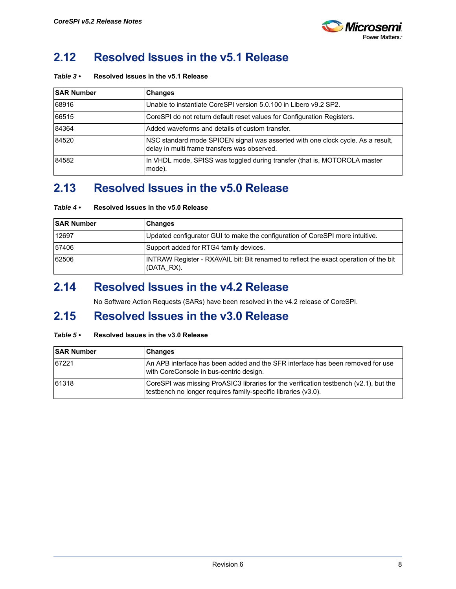

# <span id="page-7-0"></span>**2.12 Resolved Issues in the v5.1 Release**

<span id="page-7-4"></span>

| Table $3\cdot$ | Resolved Issues in the v5.1 Release |  |  |
|----------------|-------------------------------------|--|--|
|                |                                     |  |  |

| <b>SAR Number</b> | <b>Changes</b>                                                                                                                  |
|-------------------|---------------------------------------------------------------------------------------------------------------------------------|
| 68916             | Unable to instantiate CoreSPI version 5.0.100 in Libero v9.2 SP2.                                                               |
| 66515             | CoreSPI do not return default reset values for Configuration Registers.                                                         |
| 84364             | Added waveforms and details of custom transfer.                                                                                 |
| 84520             | NSC standard mode SPIOEN signal was asserted with one clock cycle. As a result,<br>delay in multi frame transfers was observed. |
| 84582             | In VHDL mode, SPISS was toggled during transfer (that is, MOTOROLA master<br>mode).                                             |

## <span id="page-7-1"></span>**2.13 Resolved Issues in the v5.0 Release**

| Table $4 \cdot$ | Resolved Issues in the v5.0 Release |  |  |
|-----------------|-------------------------------------|--|--|
|                 |                                     |  |  |

| <b>SAR Number</b> | Changes                                                                                            |
|-------------------|----------------------------------------------------------------------------------------------------|
| 12697             | Updated configurator GUI to make the configuration of CoreSPI more intuitive.                      |
| 57406             | Support added for RTG4 family devices.                                                             |
| 62506             | INTRAW Register - RXAVAIL bit: Bit renamed to reflect the exact operation of the bit<br>(DATA RX). |

### <span id="page-7-2"></span>**2.14 Resolved Issues in the v4.2 Release**

No Software Action Requests (SARs) have been resolved in the v4.2 release of CoreSPI.

#### <span id="page-7-3"></span>**2.15 Resolved Issues in the v3.0 Release**

#### *Table 5 •* **Resolved Issues in the v3.0 Release**

| <b>SAR Number</b> | <b>Changes</b>                                                                                                                                          |
|-------------------|---------------------------------------------------------------------------------------------------------------------------------------------------------|
| 67221             | IAn APB interface has been added and the SFR interface has been removed for use<br>with CoreConsole in bus-centric design.                              |
| 61318             | CoreSPI was missing ProASIC3 libraries for the verification testbench (v2.1), but the<br>testbench no longer requires family-specific libraries (v3.0). |